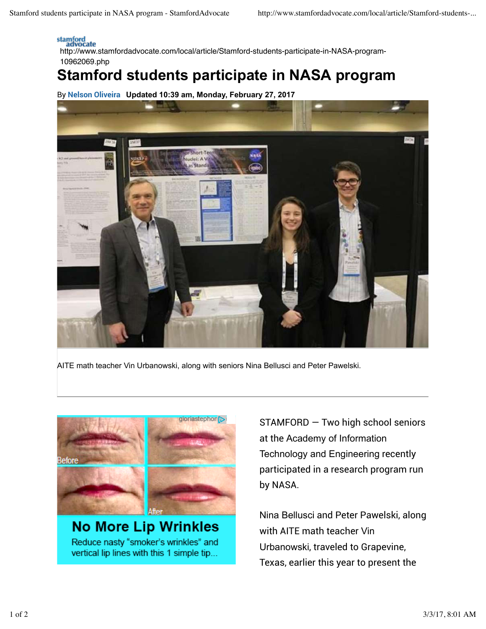## stamford<br>advocate

http://www.stamfordadvocate.com/local/article/Stamford-students-participate-in-NASA-program-10962069.php

## **Stamford students participate in NASA program**

By Nelson Oliveira **Updated 10:39 am, Monday, February 27, 2017**



AITE math teacher Vin Urbanowski, along with seniors Nina Bellusci and Peter Pawelski.



**No More Lip Wrinkles** Reduce nasty "smoker's wrinkles" and vertical lip lines with this 1 simple tip... STAMFORD — Two high school seniors at the Academy of Information Technology and Engineering recently participated in a research program run by NASA.

Nina Bellusci and Peter Pawelski, along with AITE math teacher Vin Urbanowski, traveled to Grapevine, Texas, earlier this year to present the